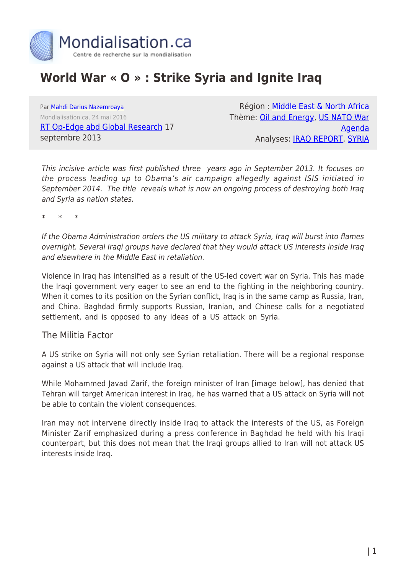

## **World War « O » : Strike Syria and Ignite Iraq**

Par [Mahdi Darius Nazemroaya](https://www.mondialisation.ca/author/mahdi-darius-nazemroaya) Mondialisation.ca, 24 mai 2016 [RT Op-Edge abd Global Research](http://rt.com/op-edge/democracy-games-strike-syria-iraq-967/) 17 septembre 2013

Région : [Middle East & North Africa](https://www.mondialisation.ca/region/middle-east) Thème: [Oil and Energy,](https://www.mondialisation.ca/theme/oil-and-energy) [US NATO War](https://www.mondialisation.ca/theme/us-nato-war-agenda) [Agenda](https://www.mondialisation.ca/theme/us-nato-war-agenda) Analyses: [IRAQ REPORT](https://www.mondialisation.ca/indepthreport/iraq-report), [SYRIA](https://www.mondialisation.ca/indepthreport/syria-nato-s-next-war)

This incisive article was first published three years ago in September 2013. It focuses on the process leading up to Obama's air campaign allegedly against ISIS initiated in September 2014. The title reveals what is now an ongoing process of destroying both Iraq and Syria as nation states.

\* \* \*

If the Obama Administration orders the US military to attack Syria, Iraq will burst into flames overnight. Several Iraqi groups have declared that they would attack US interests inside Iraq and elsewhere in the Middle East in retaliation.

Violence in Iraq has intensified as a result of the US-led covert war on Syria. This has made the Iraqi government very eager to see an end to the fighting in the neighboring country. When it comes to its position on the Syrian conflict, Iraq is in the same camp as Russia, Iran, and China. Baghdad firmly supports Russian, Iranian, and Chinese calls for a negotiated settlement, and is opposed to any ideas of a US attack on Syria.

The Militia Factor

A US strike on Syria will not only see Syrian retaliation. There will be a regional response against a US attack that will include Iraq.

While Mohammed Javad Zarif, the foreign minister of Iran [image below], has denied that Tehran will target American interest in Iraq, he has warned that a US attack on Syria will not be able to contain the violent consequences.

Iran may not intervene directly inside Iraq to attack the interests of the US, as Foreign Minister Zarif emphasized during a press conference in Baghdad he held with his Iraqi counterpart, but this does not mean that the Iraqi groups allied to Iran will not attack US interests inside Iraq.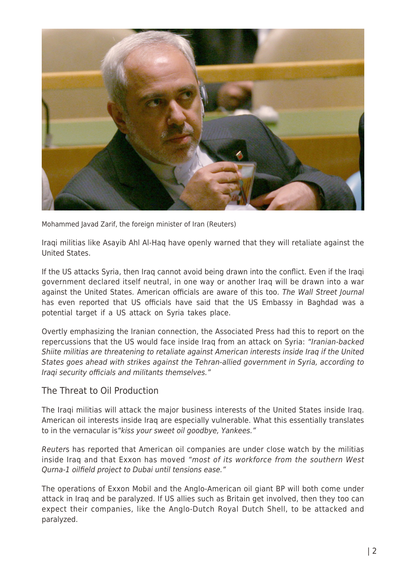

Mohammed Javad Zarif, the foreign minister of Iran (Reuters)

Iraqi militias like Asayib Ahl Al-Haq have openly warned that they will retaliate against the United States.

If the US attacks Syria, then Iraq cannot avoid being drawn into the conflict. Even if the Iraqi government declared itself neutral, in one way or another Iraq will be drawn into a war against the United States. American officials are aware of this too. The Wall Street Journal has even reported that US officials have said that the US Embassy in Baghdad was a potential target if a US attack on Syria takes place.

Overtly emphasizing the Iranian connection, the Associated Press had this to report on the repercussions that the US would face inside Iraq from an attack on Syria: "Iranian-backed Shiite militias are threatening to retaliate against American interests inside Iraq if the United States goes ahead with strikes against the Tehran-allied government in Syria, according to Iraqi security officials and militants themselves."

## The Threat to Oil Production

The Iraqi militias will attack the major business interests of the United States inside Iraq. American oil interests inside Iraq are especially vulnerable. What this essentially translates to in the vernacular is"kiss your sweet oil goodbye, Yankees."

Reuters has reported that American oil companies are under close watch by the militias inside Iraq and that Exxon has moved "most of its workforce from the southern West Qurna-1 oilfield project to Dubai until tensions ease."

The operations of Exxon Mobil and the Anglo-American oil giant BP will both come under attack in Iraq and be paralyzed. If US allies such as Britain get involved, then they too can expect their companies, like the Anglo-Dutch Royal Dutch Shell, to be attacked and paralyzed.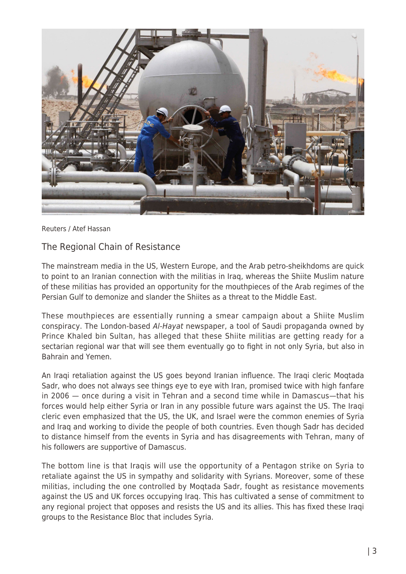

Reuters / Atef Hassan

## The Regional Chain of Resistance

The mainstream media in the US, Western Europe, and the Arab petro-sheikhdoms are quick to point to an Iranian connection with the militias in Iraq, whereas the Shiite Muslim nature of these militias has provided an opportunity for the mouthpieces of the Arab regimes of the Persian Gulf to demonize and slander the Shiites as a threat to the Middle East.

These mouthpieces are essentially running a smear campaign about a Shiite Muslim conspiracy. The London-based Al-Hayat newspaper, a tool of Saudi propaganda owned by Prince Khaled bin Sultan, has alleged that these Shiite militias are getting ready for a sectarian regional war that will see them eventually go to fight in not only Syria, but also in Bahrain and Yemen.

An Iraqi retaliation against the US goes beyond Iranian influence. The Iraqi cleric Moqtada Sadr, who does not always see things eye to eye with Iran, promised twice with high fanfare in 2006 — once during a visit in Tehran and a second time while in Damascus—that his forces would help either Syria or Iran in any possible future wars against the US. The Iraqi cleric even emphasized that the US, the UK, and Israel were the common enemies of Syria and Iraq and working to divide the people of both countries. Even though Sadr has decided to distance himself from the events in Syria and has disagreements with Tehran, many of his followers are supportive of Damascus.

The bottom line is that Iraqis will use the opportunity of a Pentagon strike on Syria to retaliate against the US in sympathy and solidarity with Syrians. Moreover, some of these militias, including the one controlled by Moqtada Sadr, fought as resistance movements against the US and UK forces occupying Iraq. This has cultivated a sense of commitment to any regional project that opposes and resists the US and its allies. This has fixed these Iraqi groups to the Resistance Bloc that includes Syria.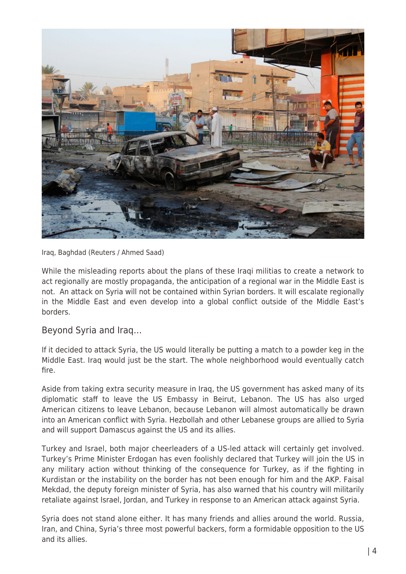

Iraq, Baghdad (Reuters / Ahmed Saad)

While the misleading reports about the plans of these Iraqi militias to create a network to act regionally are mostly propaganda, the anticipation of a regional war in the Middle East is not. An attack on Syria will not be contained within Syrian borders. It will escalate regionally in the Middle East and even develop into a global conflict outside of the Middle East's borders.

Beyond Syria and Iraq…

If it decided to attack Syria, the US would literally be putting a match to a powder keg in the Middle East. Iraq would just be the start. The whole neighborhood would eventually catch fire.

Aside from taking extra security measure in Iraq, the US government has asked many of its diplomatic staff to leave the US Embassy in Beirut, Lebanon. The US has also urged American citizens to leave Lebanon, because Lebanon will almost automatically be drawn into an American conflict with Syria. Hezbollah and other Lebanese groups are allied to Syria and will support Damascus against the US and its allies.

Turkey and Israel, both major cheerleaders of a US-led attack will certainly get involved. Turkey's Prime Minister Erdogan has even foolishly declared that Turkey will join the US in any military action without thinking of the consequence for Turkey, as if the fighting in Kurdistan or the instability on the border has not been enough for him and the AKP. Faisal Mekdad, the deputy foreign minister of Syria, has also warned that his country will militarily retaliate against Israel, Jordan, and Turkey in response to an American attack against Syria.

Syria does not stand alone either. It has many friends and allies around the world. Russia, Iran, and China, Syria's three most powerful backers, form a formidable opposition to the US and its allies.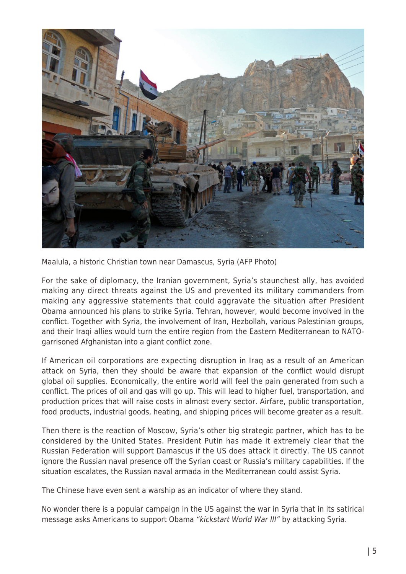

Maalula, a historic Christian town near Damascus, Syria (AFP Photo)

For the sake of diplomacy, the Iranian government, Syria's staunchest ally, has avoided making any direct threats against the US and prevented its military commanders from making any aggressive statements that could aggravate the situation after President Obama announced his plans to strike Syria. Tehran, however, would become involved in the conflict. Together with Syria, the involvement of Iran, Hezbollah, various Palestinian groups, and their Iraqi allies would turn the entire region from the Eastern Mediterranean to NATOgarrisoned Afghanistan into a giant conflict zone.

If American oil corporations are expecting disruption in Iraq as a result of an American attack on Syria, then they should be aware that expansion of the conflict would disrupt global oil supplies. Economically, the entire world will feel the pain generated from such a conflict. The prices of oil and gas will go up. This will lead to higher fuel, transportation, and production prices that will raise costs in almost every sector. Airfare, public transportation, food products, industrial goods, heating, and shipping prices will become greater as a result.

Then there is the reaction of Moscow, Syria's other big strategic partner, which has to be considered by the United States. President Putin has made it extremely clear that the Russian Federation will support Damascus if the US does attack it directly. The US cannot ignore the Russian naval presence off the Syrian coast or Russia's military capabilities. If the situation escalates, the Russian naval armada in the Mediterranean could assist Syria.

The Chinese have even sent a warship as an indicator of where they stand.

No wonder there is a popular campaign in the US against the war in Syria that in its satirical message asks Americans to support Obama "kickstart World War III" by attacking Syria.